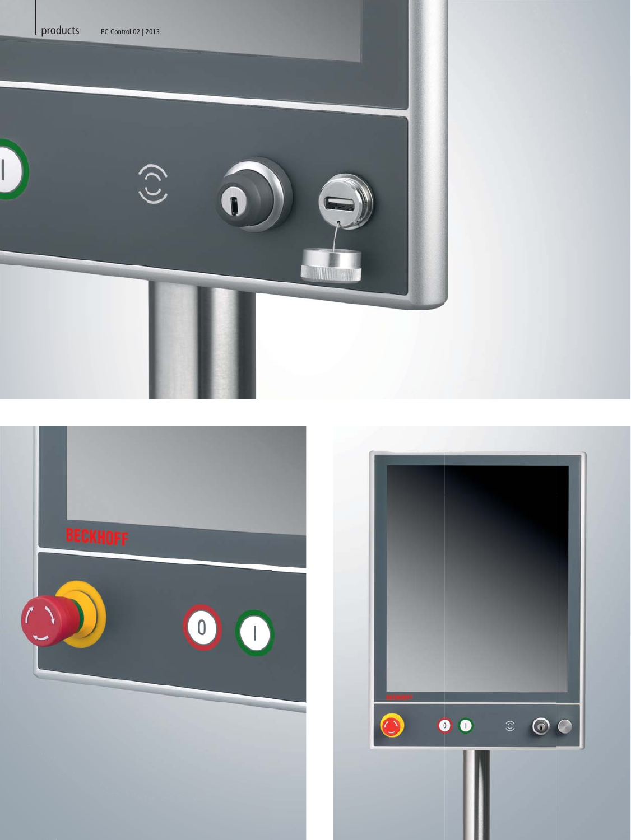



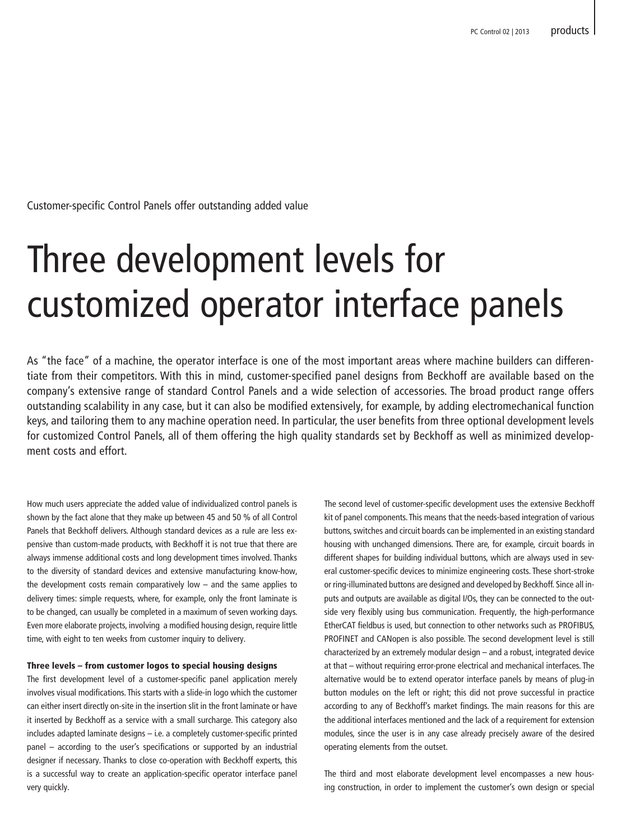Customer-specific Control Panels offer outstanding added value

# Three development levels for customized operator interface panels

As "the face" of a machine, the operator interface is one of the most important areas where machine builders can differentiate from their competitors. With this in mind, customer-specified panel designs from Beckhoff are available based on the company's extensive range of standard Control Panels and a wide selection of accessories. The broad product range offers outstanding scalability in any case, but it can also be modified extensively, for example, by adding electromechanical function keys, and tailoring them to any machine operation need. In particular, the user benefits from three optional development levels for customized Control Panels, all of them offering the high quality standards set by Beckhoff as well as minimized development costs and effort.

How much users appreciate the added value of individualized control panels is shown by the fact alone that they make up between 45 and 50 % of all Control Panels that Beckhoff delivers. Although standard devices as a rule are less expensive than custom-made products, with Beckhoff it is not true that there are always immense additional costs and long development times involved. Thanks to the diversity of standard devices and extensive manufacturing know-how, the development costs remain comparatively low – and the same applies to delivery times: simple requests, where, for example, only the front laminate is to be changed, can usually be completed in a maximum of seven working days. Even more elaborate projects, involving a modified housing design, require little time, with eight to ten weeks from customer inquiry to delivery.

## Three levels – from customer logos to special housing designs

The first development level of a customer-specific panel application merely involves visual modifications. This starts with a slide-in logo which the customer can either insert directly on-site in the insertion slit in the front laminate or have it inserted by Beckhoff as a service with a small surcharge. This category also includes adapted laminate designs – i.e. a completely customer-specific printed panel – according to the user's specifications or supported by an industrial designer if necessary. Thanks to close co-operation with Beckhoff experts, this is a successful way to create an application-specific operator interface panel very quickly.

The second level of customer-specific development uses the extensive Beckhoff kit of panel components. This means that the needs-based integration of various buttons, switches and circuit boards can be implemented in an existing standard housing with unchanged dimensions. There are, for example, circuit boards in different shapes for building individual buttons, which are always used in several customer-specific devices to minimize engineering costs. These short-stroke or ring-illuminated buttons are designed and developed by Beckhoff. Since all inputs and outputs are available as digital I/Os, they can be connected to the outside very flexibly using bus communication. Frequently, the high-performance EtherCAT fieldbus is used, but connection to other networks such as PROFIBUS, PROFINET and CANopen is also possible. The second development level is still characterized by an extremely modular design – and a robust, integrated device at that – without requiring error-prone electrical and mechanical interfaces. The alternative would be to extend operator interface panels by means of plug-in button modules on the left or right; this did not prove successful in practice according to any of Beckhoff's market findings. The main reasons for this are the additional interfaces mentioned and the lack of a requirement for extension modules, since the user is in any case already precisely aware of the desired operating elements from the outset.

The third and most elaborate development level encompasses a new housing construction, in order to implement the customer's own design or special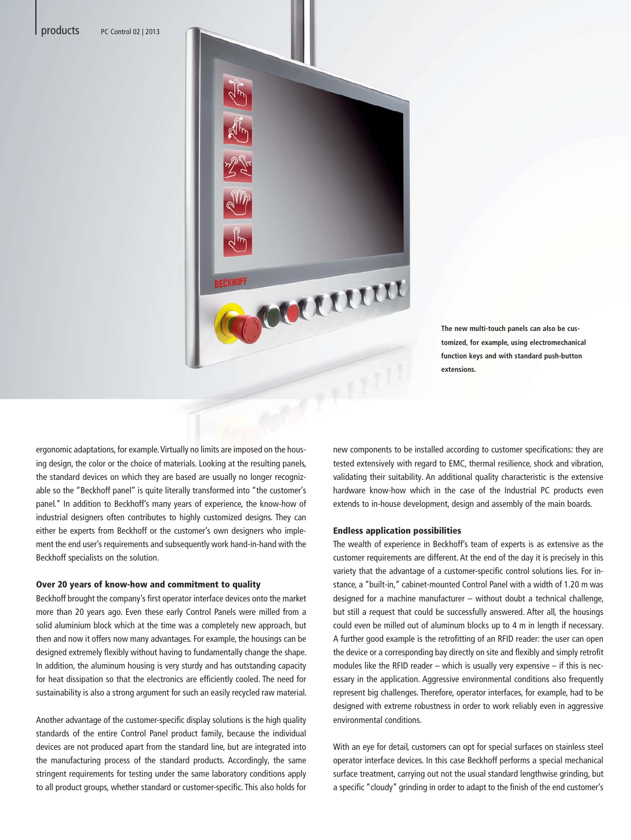products PC Control 02 | 2013



**The new multi-touch panels can also be customized, for example, using electromechanical function keys and with standard push-button extensions.**

ergonomic adaptations, for example. Virtually no limits are imposed on the housing design, the color or the choice of materials. Looking at the resulting panels, the standard devices on which they are based are usually no longer recognizable so the "Beckhoff panel" is quite literally transformed into "the customer's panel." In addition to Beckhoff's many years of experience, the know-how of industrial designers often contributes to highly customized designs. They can either be experts from Beckhoff or the customer's own designers who implement the end user's requirements and subsequently work hand-in-hand with the Beckhoff specialists on the solution.

#### Over 20 years of know-how and commitment to quality

Beckhoff brought the company's first operator interface devices onto the market more than 20 years ago. Even these early Control Panels were milled from a solid aluminium block which at the time was a completely new approach, but then and now it offers now many advantages. For example, the housings can be designed extremely flexibly without having to fundamentally change the shape. In addition, the aluminum housing is very sturdy and has outstanding capacity for heat dissipation so that the electronics are efficiently cooled. The need for sustainability is also a strong argument for such an easily recycled raw material.

Another advantage of the customer-specific display solutions is the high quality standards of the entire Control Panel product family, because the individual devices are not produced apart from the standard line, but are integrated into the manufacturing process of the standard products. Accordingly, the same stringent requirements for testing under the same laboratory conditions apply to all product groups, whether standard or customer-specific. This also holds for new components to be installed according to customer specifications: they are tested extensively with regard to EMC, thermal resilience, shock and vibration, validating their suitability. An additional quality characteristic is the extensive hardware know-how which in the case of the Industrial PC products even extends to in-house development, design and assembly of the main boards.

#### Endless application possibilities

The wealth of experience in Beckhoff's team of experts is as extensive as the customer requirements are different. At the end of the day it is precisely in this variety that the advantage of a customer-specific control solutions lies. For instance, a "built-in," cabinet-mounted Control Panel with a width of 1.20 m was designed for a machine manufacturer – without doubt a technical challenge, but still a request that could be successfully answered. After all, the housings could even be milled out of aluminum blocks up to 4 m in length if necessary. A further good example is the retrofitting of an RFID reader: the user can open the device or a corresponding bay directly on site and flexibly and simply retrofit modules like the RFID reader – which is usually very expensive – if this is necessary in the application. Aggressive environmental conditions also frequently represent big challenges. Therefore, operator interfaces, for example, had to be designed with extreme robustness in order to work reliably even in aggressive environmental conditions.

With an eye for detail, customers can opt for special surfaces on stainless steel operator interface devices. In this case Beckhoff performs a special mechanical surface treatment, carrying out not the usual standard lengthwise grinding, but a specific "cloudy" grinding in order to adapt to the finish of the end customer's